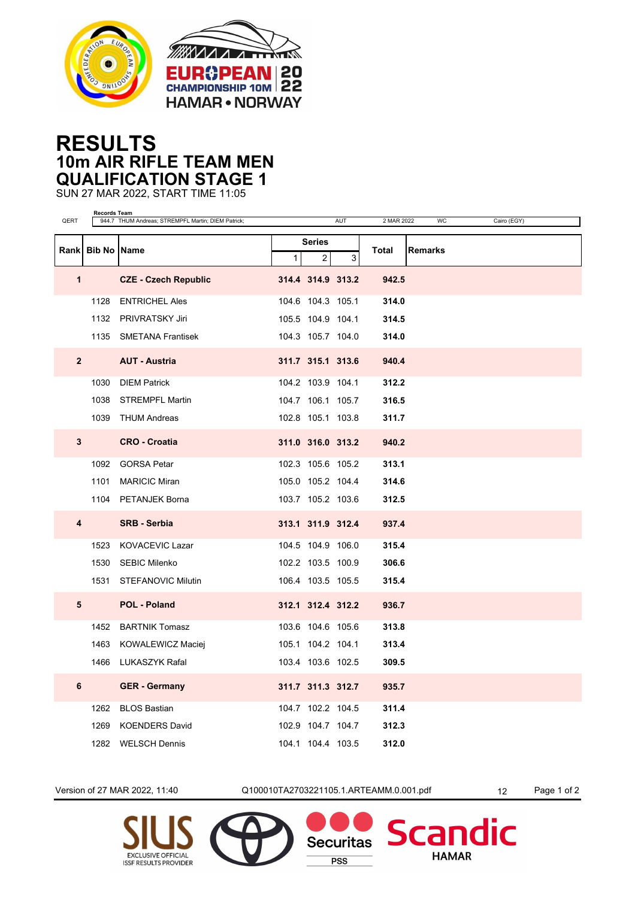



## **RESULTS 10m AIR RIFLE TEAM MEN QUALIFICATION STAGE 1**

SUN 27 MAR 2022, START TIME 11:05

| QERT           | <b>Records Team</b><br>944.7 THUM Andreas; STREMPFL Martin; DIEM Patrick;<br>AUT<br>2 MAR 2022<br><b>WC</b><br>Cairo (EGY) |                             |               |                   |   |       |                |  |
|----------------|----------------------------------------------------------------------------------------------------------------------------|-----------------------------|---------------|-------------------|---|-------|----------------|--|
|                | Rank Bib No Name                                                                                                           |                             | <b>Series</b> |                   |   |       |                |  |
|                |                                                                                                                            |                             | $\mathbf{1}$  | 2                 | 3 | Total | <b>Remarks</b> |  |
| $\mathbf{1}$   |                                                                                                                            | <b>CZE - Czech Republic</b> |               | 314.4 314.9 313.2 |   | 942.5 |                |  |
|                |                                                                                                                            | 1128 ENTRICHEL Ales         |               | 104.6 104.3 105.1 |   | 314.0 |                |  |
|                |                                                                                                                            | 1132 PRIVRATSKY Jiri        |               | 105.5 104.9 104.1 |   | 314.5 |                |  |
|                |                                                                                                                            | 1135 SMETANA Frantisek      |               | 104.3 105.7 104.0 |   | 314.0 |                |  |
| $\overline{2}$ |                                                                                                                            | <b>AUT - Austria</b>        |               | 311.7 315.1 313.6 |   | 940.4 |                |  |
|                | 1030                                                                                                                       | <b>DIEM Patrick</b>         |               | 104.2 103.9 104.1 |   | 312.2 |                |  |
|                | 1038                                                                                                                       | <b>STREMPFL Martin</b>      |               | 104.7 106.1 105.7 |   | 316.5 |                |  |
|                |                                                                                                                            | 1039 THUM Andreas           |               | 102.8 105.1 103.8 |   | 311.7 |                |  |
| 3              |                                                                                                                            | <b>CRO - Croatia</b>        |               | 311.0 316.0 313.2 |   | 940.2 |                |  |
|                |                                                                                                                            | 1092 GORSA Petar            |               | 102.3 105.6 105.2 |   | 313.1 |                |  |
|                |                                                                                                                            | 1101 MARICIC Miran          |               | 105.0 105.2 104.4 |   | 314.6 |                |  |
|                |                                                                                                                            | 1104 PETANJEK Borna         |               | 103.7 105.2 103.6 |   | 312.5 |                |  |
| 4              |                                                                                                                            | <b>SRB - Serbia</b>         |               | 313.1 311.9 312.4 |   | 937.4 |                |  |
|                | 1523                                                                                                                       | KOVACEVIC Lazar             |               | 104.5 104.9 106.0 |   | 315.4 |                |  |
|                |                                                                                                                            | 1530 SEBIC Milenko          |               | 102.2 103.5 100.9 |   | 306.6 |                |  |
|                |                                                                                                                            | 1531 STEFANOVIC Milutin     |               | 106.4 103.5 105.5 |   | 315.4 |                |  |
| 5              |                                                                                                                            | <b>POL - Poland</b>         |               | 312.1 312.4 312.2 |   | 936.7 |                |  |
|                |                                                                                                                            | 1452 BARTNIK Tomasz         |               | 103.6 104.6 105.6 |   | 313.8 |                |  |
|                |                                                                                                                            | 1463 KOWALEWICZ Maciej      |               | 105.1 104.2 104.1 |   | 313.4 |                |  |
|                | 1466                                                                                                                       | LUKASZYK Rafal              |               | 103.4 103.6 102.5 |   | 309.5 |                |  |
| 6              |                                                                                                                            | <b>GER</b> - Germany        |               | 311.7 311.3 312.7 |   | 935.7 |                |  |
|                |                                                                                                                            | 1262 BLOS Bastian           |               | 104.7 102.2 104.5 |   | 311.4 |                |  |
|                | 1269                                                                                                                       | <b>KOENDERS David</b>       |               | 102.9 104.7 104.7 |   | 312.3 |                |  |
|                | 1282                                                                                                                       | <b>WELSCH Dennis</b>        |               | 104.1 104.4 103.5 |   | 312.0 |                |  |

Version of 27 MAR 2022, 11:40 Q100010TA2703221105.1.ARTEAMM.0.001.pdf 12 Page 1 of 2

**Securitas** 

**PSS** 

dic

**Scan** 

**HAMAR**